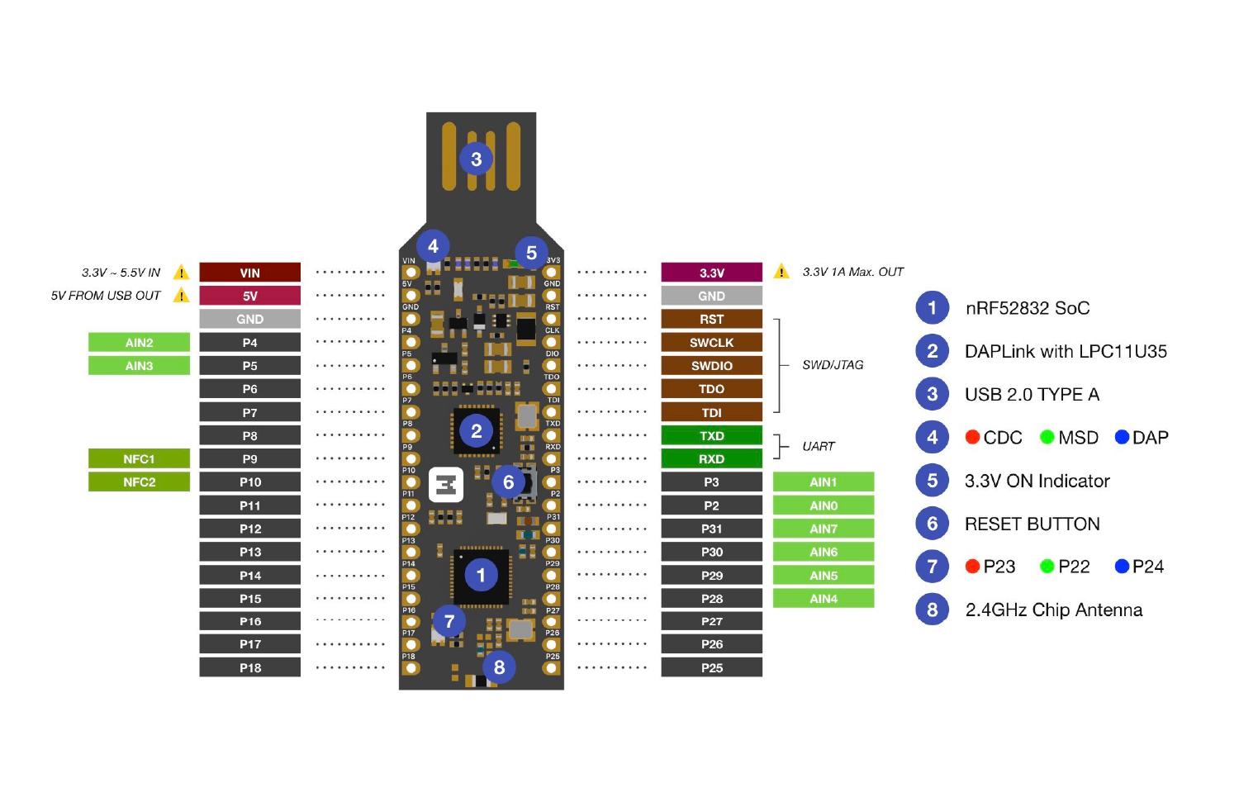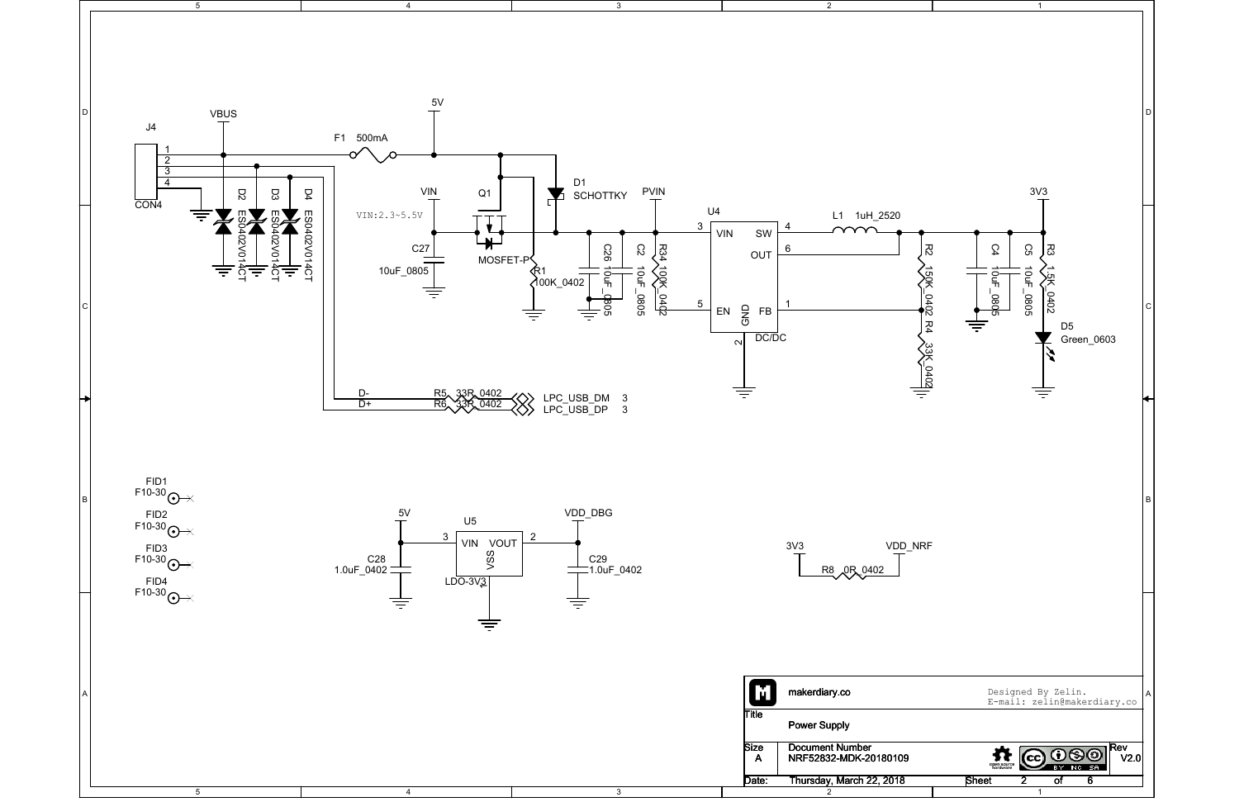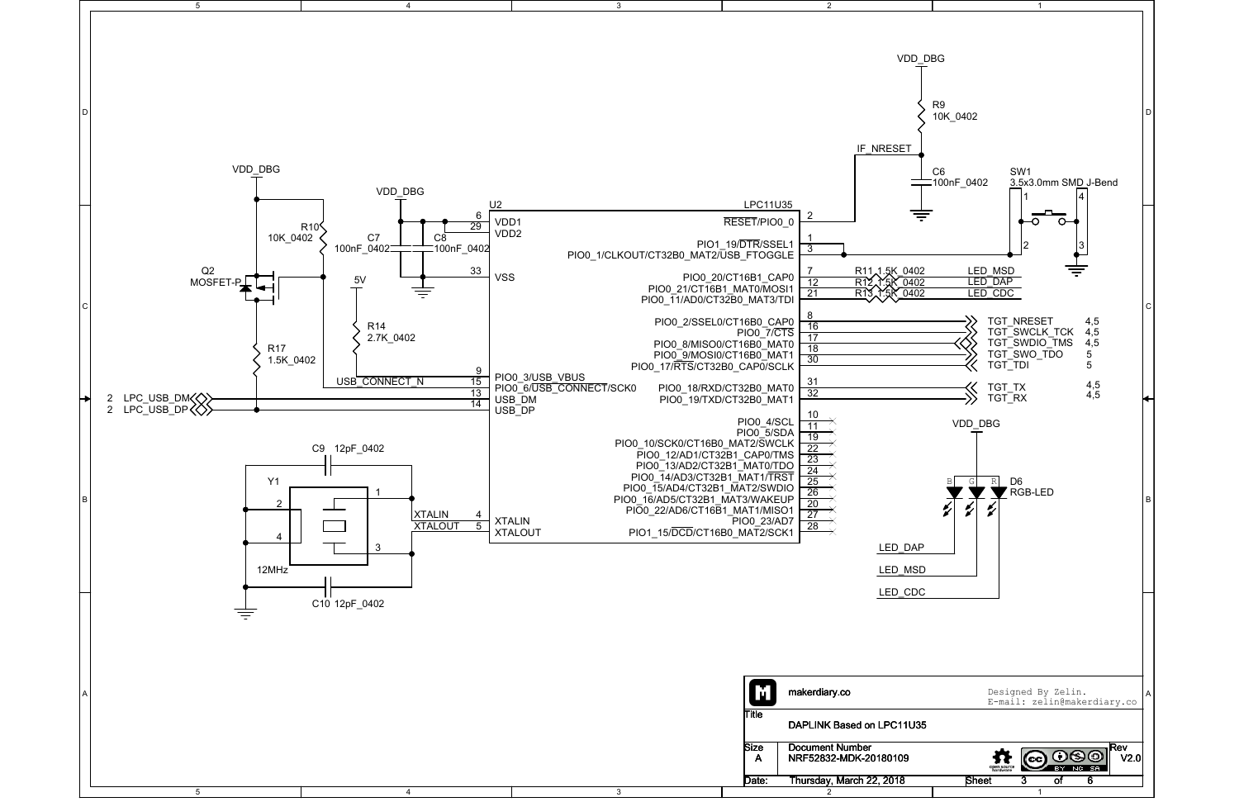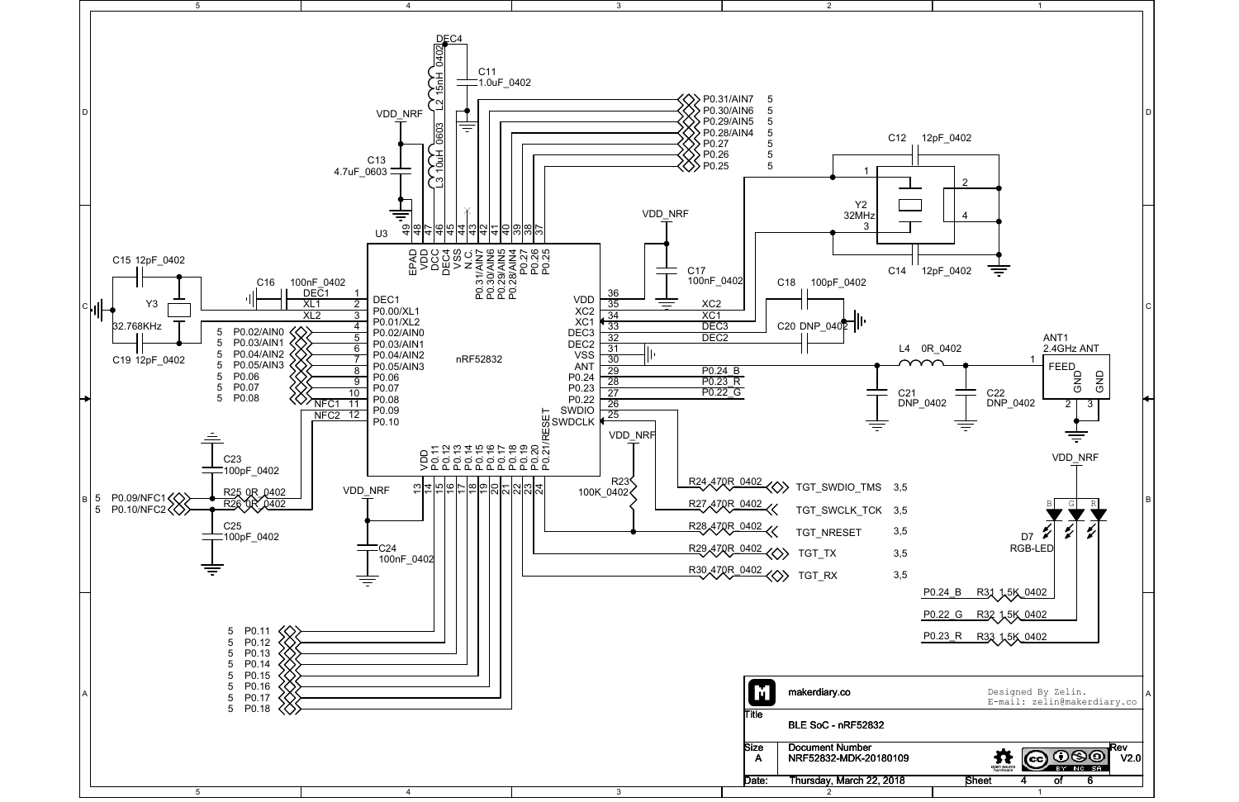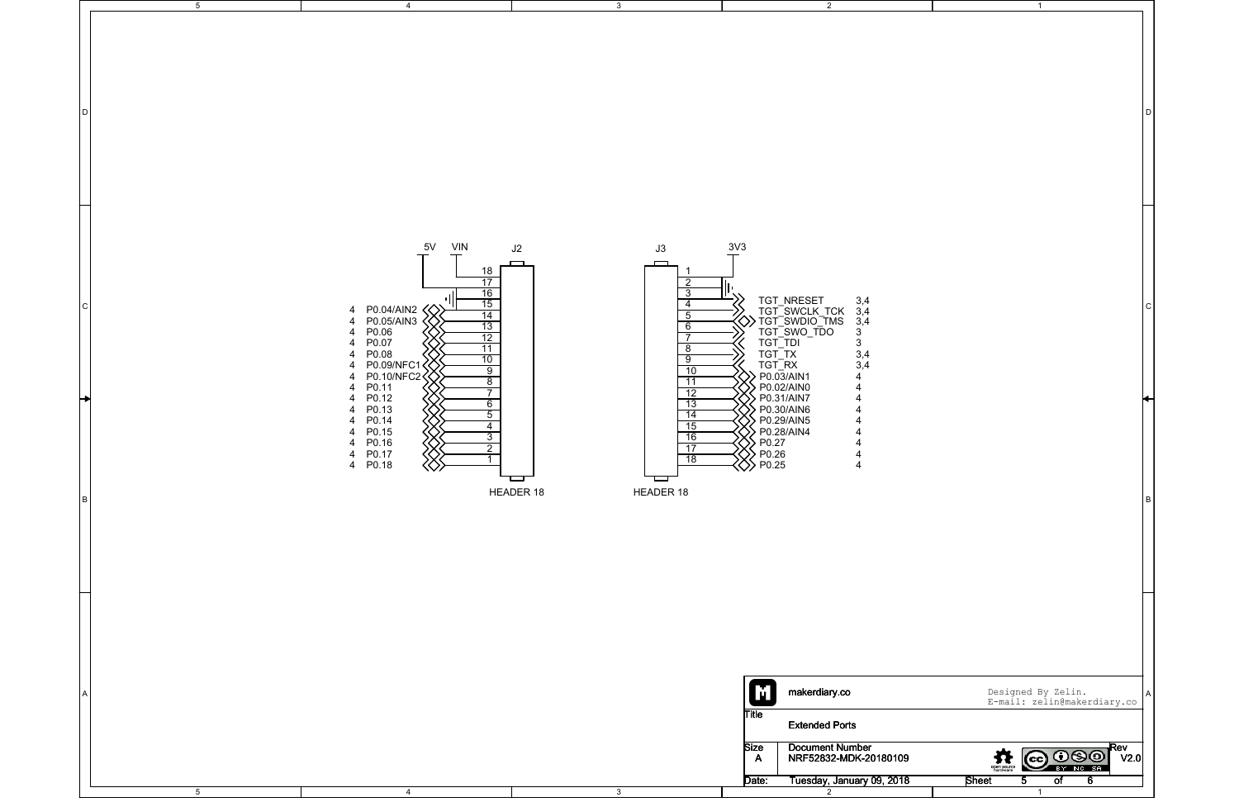